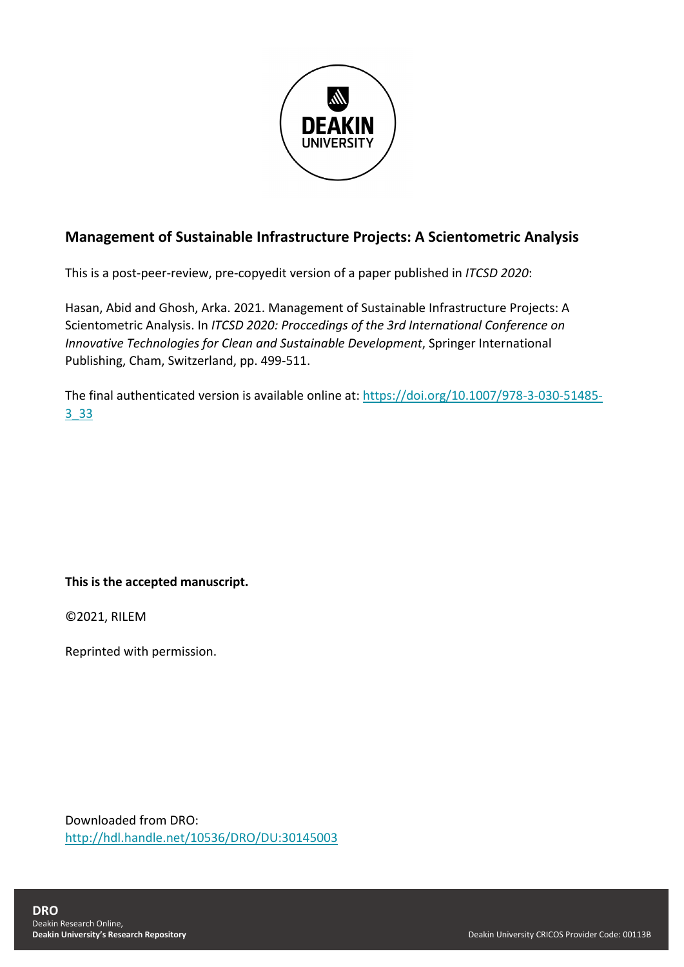

# **Management of Sustainable Infrastructure Projects: A Scientometric Analysis**

This is a post-peer-review, pre-copyedit version of a paper published in *ITCSD 2020*:

Hasan, Abid and Ghosh, Arka. 2021. Management of Sustainable Infrastructure Projects: A Scientometric Analysis. In *ITCSD 2020: Proccedings of the 3rd International Conference on Innovative Technologies for Clean and Sustainable Development*, Springer International Publishing, Cham, Switzerland, pp. 499-511.

The final authenticated version is available online at: [https://doi.org/10.1007/978-3-030-51485-](https://doi.org/10.1007/978-3-030-51485-3_33) [3\\_33](https://doi.org/10.1007/978-3-030-51485-3_33)

## **This is the accepted manuscript.**

©2021, RILEM

Reprinted with permission.

Downloaded from DRO: <http://hdl.handle.net/10536/DRO/DU:30145003>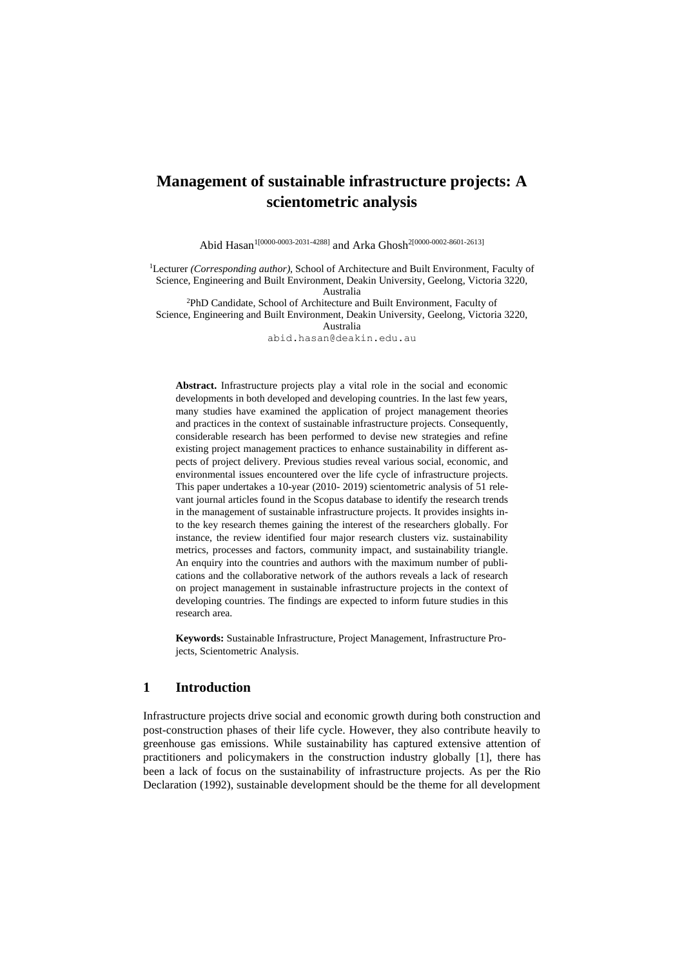# **Management of sustainable infrastructure projects: A scientometric analysis**

Abid Hasan<sup>1[0000-0003-2031-4288]</sup> and Arka Ghosh<sup>2[0000-0002-8601-2613]</sup>

<sup>1</sup>Lecturer *(Corresponding author)*, School of Architecture and Built Environment, Faculty of Science, Engineering and Built Environment, Deakin University, Geelong, Victoria 3220, Australia

<sup>2</sup>PhD Candidate, School of Architecture and Built Environment, Faculty of Science, Engineering and Built Environment, Deakin University, Geelong, Victoria 3220, Australia

abid.hasan@deakin.edu.au

**Abstract.** Infrastructure projects play a vital role in the social and economic developments in both developed and developing countries. In the last few years, many studies have examined the application of project management theories and practices in the context of sustainable infrastructure projects. Consequently, considerable research has been performed to devise new strategies and refine existing project management practices to enhance sustainability in different aspects of project delivery. Previous studies reveal various social, economic, and environmental issues encountered over the life cycle of infrastructure projects. This paper undertakes a 10-year (2010- 2019) scientometric analysis of 51 relevant journal articles found in the Scopus database to identify the research trends in the management of sustainable infrastructure projects. It provides insights into the key research themes gaining the interest of the researchers globally. For instance, the review identified four major research clusters viz. sustainability metrics, processes and factors, community impact, and sustainability triangle. An enquiry into the countries and authors with the maximum number of publications and the collaborative network of the authors reveals a lack of research on project management in sustainable infrastructure projects in the context of developing countries. The findings are expected to inform future studies in this research area.

**Keywords:** Sustainable Infrastructure, Project Management, Infrastructure Projects, Scientometric Analysis.

## **1 Introduction**

Infrastructure projects drive social and economic growth during both construction and post-construction phases of their life cycle. However, they also contribute heavily to greenhouse gas emissions. While sustainability has captured extensive attention of practitioners and policymakers in the construction industry globally [1], there has been a lack of focus on the sustainability of infrastructure projects. As per the Rio Declaration (1992), sustainable development should be the theme for all development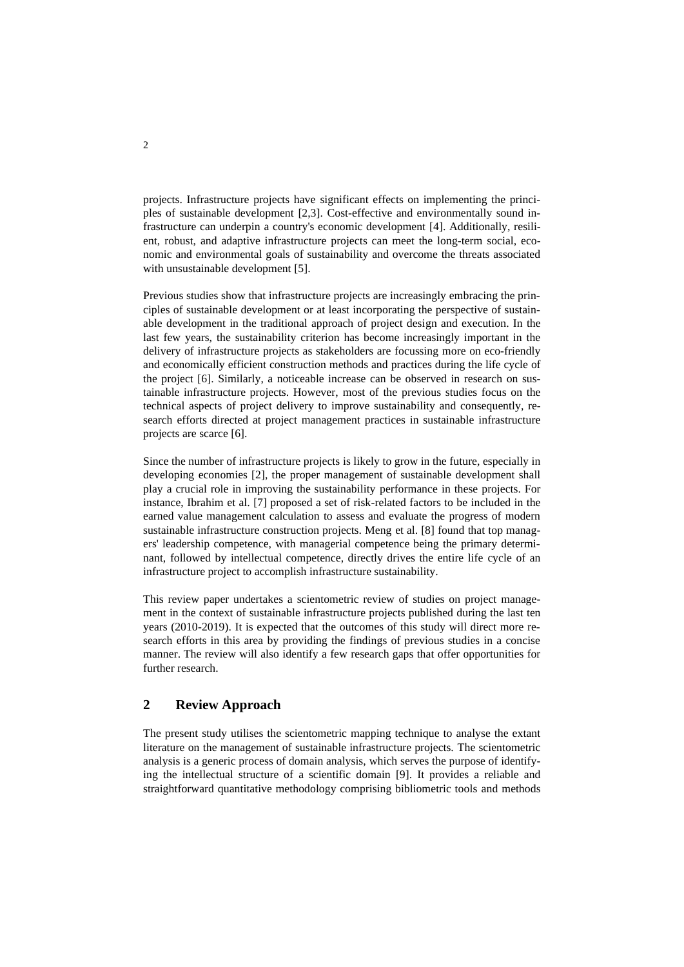projects. Infrastructure projects have significant effects on implementing the principles of sustainable development [2,3]. Cost-effective and environmentally sound infrastructure can underpin a country's economic development [4]. Additionally, resilient, robust, and adaptive infrastructure projects can meet the long-term social, economic and environmental goals of sustainability and overcome the threats associated with unsustainable development [5].

Previous studies show that infrastructure projects are increasingly embracing the principles of sustainable development or at least incorporating the perspective of sustainable development in the traditional approach of project design and execution. In the last few years, the sustainability criterion has become increasingly important in the delivery of infrastructure projects as stakeholders are focussing more on eco-friendly and economically efficient construction methods and practices during the life cycle of the project [6]. Similarly, a noticeable increase can be observed in research on sustainable infrastructure projects. However, most of the previous studies focus on the technical aspects of project delivery to improve sustainability and consequently, research efforts directed at project management practices in sustainable infrastructure projects are scarce [6].

Since the number of infrastructure projects is likely to grow in the future, especially in developing economies [2], the proper management of sustainable development shall play a crucial role in improving the sustainability performance in these projects. For instance, Ibrahim et al. [7] proposed a set of risk-related factors to be included in the earned value management calculation to assess and evaluate the progress of modern sustainable infrastructure construction projects. Meng et al. [8] found that top managers' leadership competence, with managerial competence being the primary determinant, followed by intellectual competence, directly drives the entire life cycle of an infrastructure project to accomplish infrastructure sustainability.

This review paper undertakes a scientometric review of studies on project management in the context of sustainable infrastructure projects published during the last ten years (2010-2019). It is expected that the outcomes of this study will direct more research efforts in this area by providing the findings of previous studies in a concise manner. The review will also identify a few research gaps that offer opportunities for further research.

## **2 Review Approach**

The present study utilises the scientometric mapping technique to analyse the extant literature on the management of sustainable infrastructure projects. The scientometric analysis is a generic process of domain analysis, which serves the purpose of identifying the intellectual structure of a scientific domain [9]. It provides a reliable and straightforward quantitative methodology comprising bibliometric tools and methods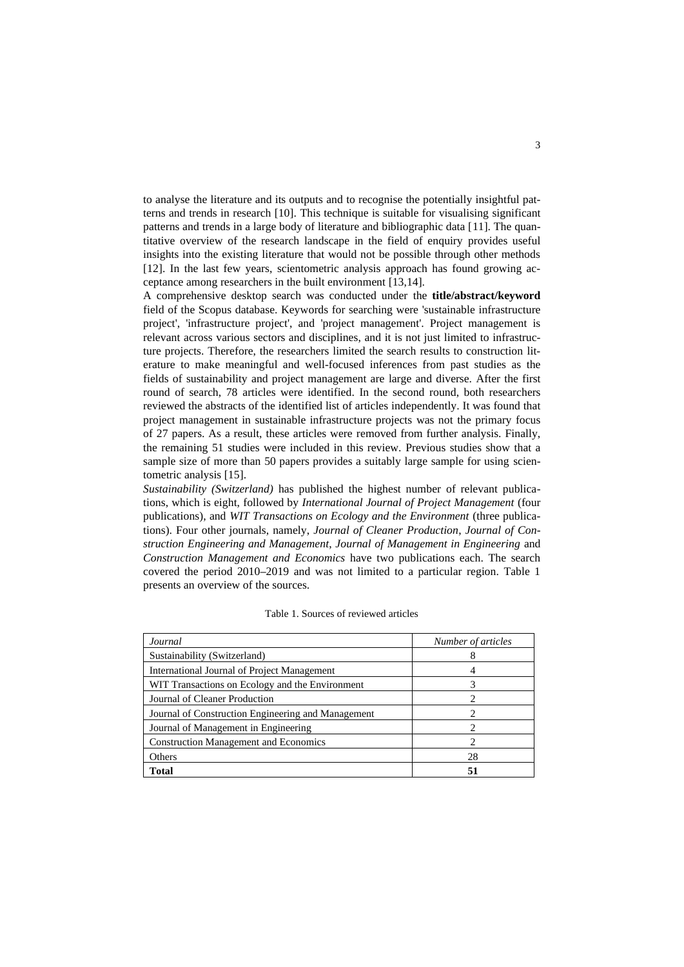to analyse the literature and its outputs and to recognise the potentially insightful patterns and trends in research [10]. This technique is suitable for visualising significant patterns and trends in a large body of literature and bibliographic data [11]. The quantitative overview of the research landscape in the field of enquiry provides useful insights into the existing literature that would not be possible through other methods [12]. In the last few years, scientometric analysis approach has found growing acceptance among researchers in the built environment [13,14].

A comprehensive desktop search was conducted under the **title/abstract/keyword** field of the Scopus database. Keywords for searching were 'sustainable infrastructure project', 'infrastructure project', and 'project management'. Project management is relevant across various sectors and disciplines, and it is not just limited to infrastructure projects. Therefore, the researchers limited the search results to construction literature to make meaningful and well-focused inferences from past studies as the fields of sustainability and project management are large and diverse. After the first round of search, 78 articles were identified. In the second round, both researchers reviewed the abstracts of the identified list of articles independently. It was found that project management in sustainable infrastructure projects was not the primary focus of 27 papers. As a result, these articles were removed from further analysis. Finally, the remaining 51 studies were included in this review. Previous studies show that a sample size of more than 50 papers provides a suitably large sample for using scientometric analysis [15].

*Sustainability (Switzerland)* has published the highest number of relevant publications, which is eight, followed by *International Journal of Project Management* (four publications), and *WIT Transactions on Ecology and the Environment* (three publications). Four other journals, namely, *Journal of Cleaner Production*, *Journal of Construction Engineering and Management*, *Journal of Management in Engineering* and *Construction Management and Economics* have two publications each. The search covered the period 2010**–**2019 and was not limited to a particular region. Table 1 presents an overview of the sources.

| Journal                                            | Number of articles |
|----------------------------------------------------|--------------------|
| Sustainability (Switzerland)                       |                    |
| International Journal of Project Management        |                    |
| WIT Transactions on Ecology and the Environment    |                    |
| Journal of Cleaner Production                      |                    |
| Journal of Construction Engineering and Management |                    |
| Journal of Management in Engineering               |                    |
| <b>Construction Management and Economics</b>       |                    |
| Others                                             | 28                 |
| Total                                              | 51                 |

| Table 1. Sources of reviewed articles |
|---------------------------------------|
|---------------------------------------|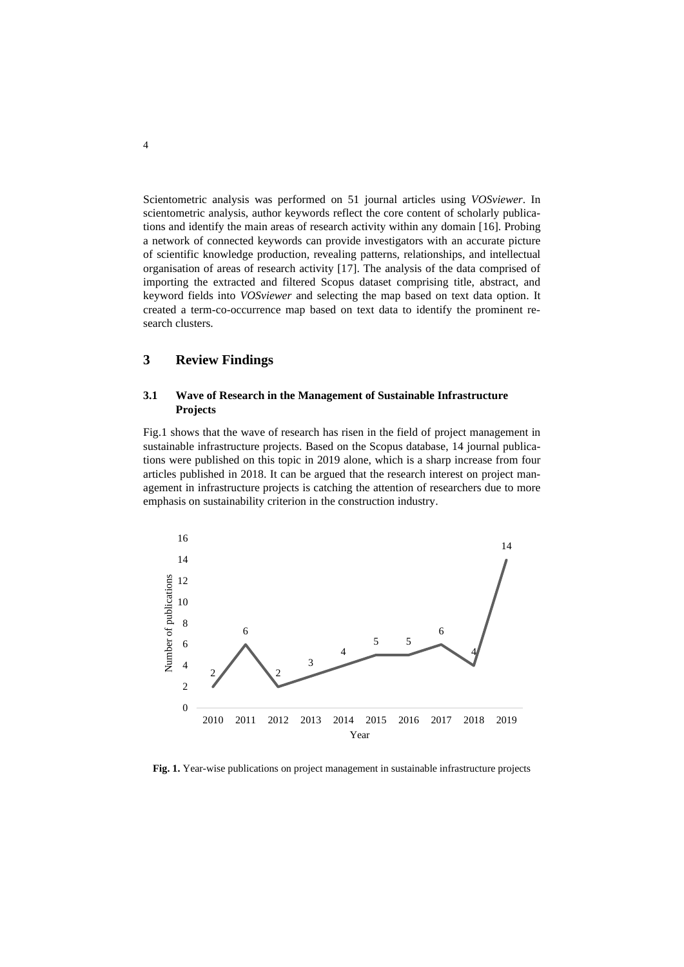Scientometric analysis was performed on 51 journal articles using *VOSviewer*. In scientometric analysis, author keywords reflect the core content of scholarly publications and identify the main areas of research activity within any domain [16]. Probing a network of connected keywords can provide investigators with an accurate picture of scientific knowledge production, revealing patterns, relationships, and intellectual organisation of areas of research activity [17]. The analysis of the data comprised of importing the extracted and filtered Scopus dataset comprising title, abstract, and keyword fields into *VOSviewer* and selecting the map based on text data option. It created a term-co-occurrence map based on text data to identify the prominent research clusters.

## **3 Review Findings**

## **3.1 Wave of Research in the Management of Sustainable Infrastructure Projects**

Fig.1 shows that the wave of research has risen in the field of project management in sustainable infrastructure projects. Based on the Scopus database, 14 journal publications were published on this topic in 2019 alone, which is a sharp increase from four articles published in 2018. It can be argued that the research interest on project management in infrastructure projects is catching the attention of researchers due to more emphasis on sustainability criterion in the construction industry.



**Fig. 1.** Year-wise publications on project management in sustainable infrastructure projects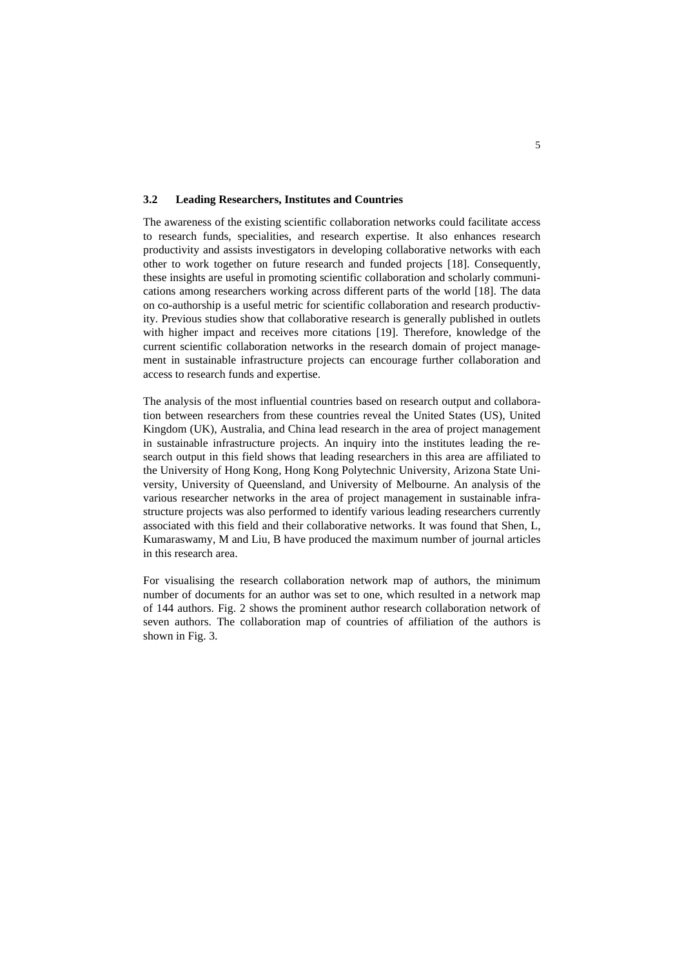#### **3.2 Leading Researchers, Institutes and Countries**

The awareness of the existing scientific collaboration networks could facilitate access to research funds, specialities, and research expertise. It also enhances research productivity and assists investigators in developing collaborative networks with each other to work together on future research and funded projects [18]. Consequently, these insights are useful in promoting scientific collaboration and scholarly communications among researchers working across different parts of the world [18]. The data on co-authorship is a useful metric for scientific collaboration and research productivity. Previous studies show that collaborative research is generally published in outlets with higher impact and receives more citations [19]. Therefore, knowledge of the current scientific collaboration networks in the research domain of project management in sustainable infrastructure projects can encourage further collaboration and access to research funds and expertise.

The analysis of the most influential countries based on research output and collaboration between researchers from these countries reveal the United States (US), United Kingdom (UK), Australia, and China lead research in the area of project management in sustainable infrastructure projects. An inquiry into the institutes leading the research output in this field shows that leading researchers in this area are affiliated to the University of Hong Kong, Hong Kong Polytechnic University, Arizona State University, University of Queensland, and University of Melbourne. An analysis of the various researcher networks in the area of project management in sustainable infrastructure projects was also performed to identify various leading researchers currently associated with this field and their collaborative networks. It was found that Shen, L, Kumaraswamy, M and Liu, B have produced the maximum number of journal articles in this research area.

For visualising the research collaboration network map of authors, the minimum number of documents for an author was set to one, which resulted in a network map of 144 authors. Fig. 2 shows the prominent author research collaboration network of seven authors. The collaboration map of countries of affiliation of the authors is shown in Fig. 3.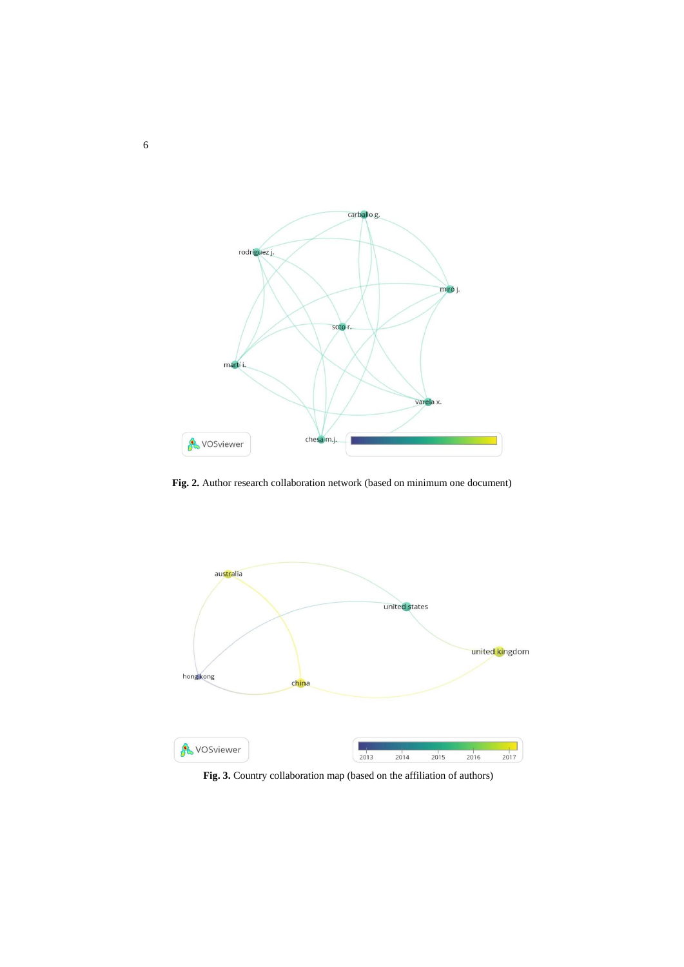

**Fig. 2.** Author research collaboration network (based on minimum one document)



**Fig. 3.** Country collaboration map (based on the affiliation of authors)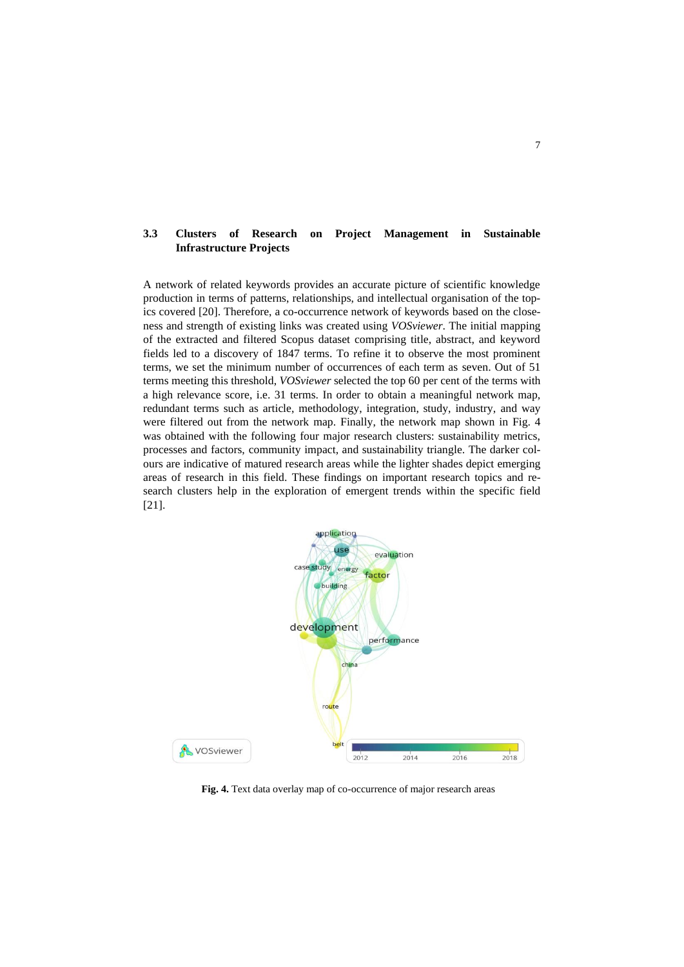## **3.3 Clusters of Research on Project Management in Sustainable Infrastructure Projects**

A network of related keywords provides an accurate picture of scientific knowledge production in terms of patterns, relationships, and intellectual organisation of the topics covered [20]. Therefore, a co-occurrence network of keywords based on the closeness and strength of existing links was created using *VOSviewer*. The initial mapping of the extracted and filtered Scopus dataset comprising title, abstract, and keyword fields led to a discovery of 1847 terms. To refine it to observe the most prominent terms, we set the minimum number of occurrences of each term as seven. Out of 51 terms meeting this threshold, *VOSviewer* selected the top 60 per cent of the terms with a high relevance score, i.e. 31 terms. In order to obtain a meaningful network map, redundant terms such as article, methodology, integration, study, industry, and way were filtered out from the network map. Finally, the network map shown in Fig. 4 was obtained with the following four major research clusters: sustainability metrics, processes and factors, community impact, and sustainability triangle. The darker colours are indicative of matured research areas while the lighter shades depict emerging areas of research in this field. These findings on important research topics and research clusters help in the exploration of emergent trends within the specific field [21].



**Fig. 4.** Text data overlay map of co-occurrence of major research areas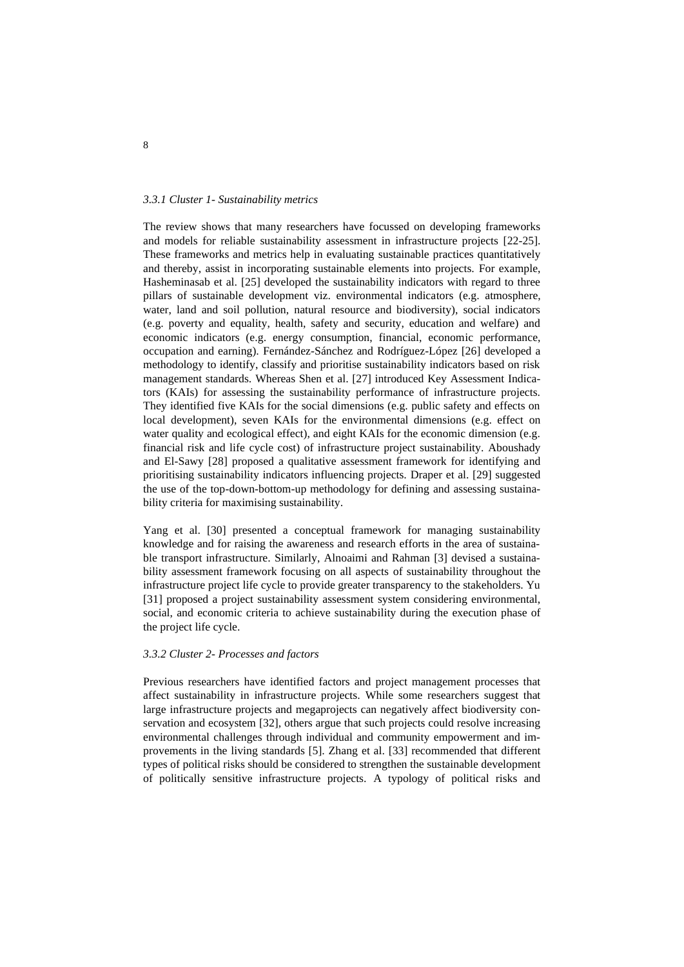#### *3.3.1 Cluster 1- Sustainability metrics*

The review shows that many researchers have focussed on developing frameworks and models for reliable sustainability assessment in infrastructure projects [22-25]. These frameworks and metrics help in evaluating sustainable practices quantitatively and thereby, assist in incorporating sustainable elements into projects. For example, Hasheminasab et al. [25] developed the sustainability indicators with regard to three pillars of sustainable development viz. environmental indicators (e.g. atmosphere, water, land and soil pollution, natural resource and biodiversity), social indicators (e.g. poverty and equality, health, safety and security, education and welfare) and economic indicators (e.g. energy consumption, financial, economic performance, occupation and earning). Fernández-Sánchez and Rodríguez-López [26] developed a methodology to identify, classify and prioritise sustainability indicators based on risk management standards. Whereas Shen et al. [27] introduced Key Assessment Indicators (KAIs) for assessing the sustainability performance of infrastructure projects. They identified five KAIs for the social dimensions (e.g. public safety and effects on local development), seven KAIs for the environmental dimensions (e.g. effect on water quality and ecological effect), and eight KAIs for the economic dimension (e.g. financial risk and life cycle cost) of infrastructure project sustainability. Aboushady and El-Sawy [28] proposed a qualitative assessment framework for identifying and prioritising sustainability indicators influencing projects. Draper et al. [29] suggested the use of the top-down-bottom-up methodology for defining and assessing sustainability criteria for maximising sustainability.

Yang et al. [30] presented a conceptual framework for managing sustainability knowledge and for raising the awareness and research efforts in the area of sustainable transport infrastructure. Similarly, Alnoaimi and Rahman [3] devised a sustainability assessment framework focusing on all aspects of sustainability throughout the infrastructure project life cycle to provide greater transparency to the stakeholders. Yu [31] proposed a project sustainability assessment system considering environmental, social, and economic criteria to achieve sustainability during the execution phase of the project life cycle.

#### *3.3.2 Cluster 2- Processes and factors*

Previous researchers have identified factors and project management processes that affect sustainability in infrastructure projects. While some researchers suggest that large infrastructure projects and megaprojects can negatively affect biodiversity conservation and ecosystem [32], others argue that such projects could resolve increasing environmental challenges through individual and community empowerment and improvements in the living standards [5]. Zhang et al. [33] recommended that different types of political risks should be considered to strengthen the sustainable development of politically sensitive infrastructure projects. A typology of political risks and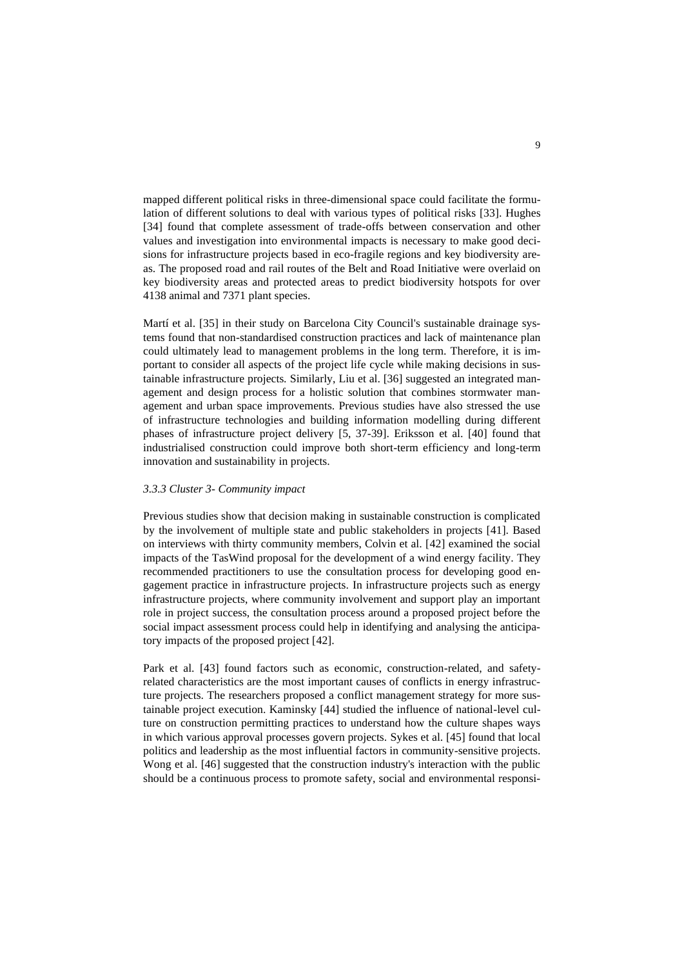mapped different political risks in three-dimensional space could facilitate the formulation of different solutions to deal with various types of political risks [33]. Hughes [34] found that complete assessment of trade-offs between conservation and other values and investigation into environmental impacts is necessary to make good decisions for infrastructure projects based in eco-fragile regions and key biodiversity areas. The proposed road and rail routes of the Belt and Road Initiative were overlaid on key biodiversity areas and protected areas to predict biodiversity hotspots for over 4138 animal and 7371 plant species.

Martí et al. [35] in their study on Barcelona City Council's sustainable drainage systems found that non-standardised construction practices and lack of maintenance plan could ultimately lead to management problems in the long term. Therefore, it is important to consider all aspects of the project life cycle while making decisions in sustainable infrastructure projects. Similarly, Liu et al. [36] suggested an integrated management and design process for a holistic solution that combines stormwater management and urban space improvements. Previous studies have also stressed the use of infrastructure technologies and building information modelling during different phases of infrastructure project delivery [5, 37-39]. Eriksson et al. [40] found that industrialised construction could improve both short-term efficiency and long-term innovation and sustainability in projects.

#### *3.3.3 Cluster 3- Community impact*

Previous studies show that decision making in sustainable construction is complicated by the involvement of multiple state and public stakeholders in projects [41]. Based on interviews with thirty community members, Colvin et al. [42] examined the social impacts of the TasWind proposal for the development of a wind energy facility. They recommended practitioners to use the consultation process for developing good engagement practice in infrastructure projects. In infrastructure projects such as energy infrastructure projects, where community involvement and support play an important role in project success, the consultation process around a proposed project before the social impact assessment process could help in identifying and analysing the anticipatory impacts of the proposed project [42].

Park et al. [43] found factors such as economic, construction-related, and safetyrelated characteristics are the most important causes of conflicts in energy infrastructure projects. The researchers proposed a conflict management strategy for more sustainable project execution. Kaminsky [44] studied the influence of national-level culture on construction permitting practices to understand how the culture shapes ways in which various approval processes govern projects. Sykes et al. [45] found that local politics and leadership as the most influential factors in community-sensitive projects. Wong et al. [46] suggested that the construction industry's interaction with the public should be a continuous process to promote safety, social and environmental responsi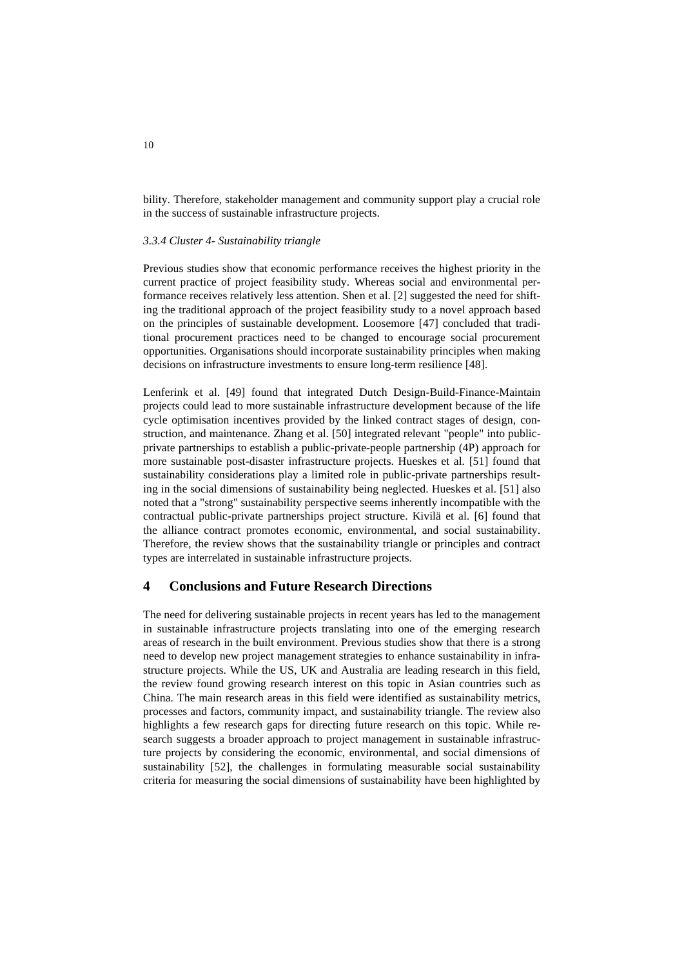bility. Therefore, stakeholder management and community support play a crucial role in the success of sustainable infrastructure projects.

#### *3.3.4 Cluster 4- Sustainability triangle*

Previous studies show that economic performance receives the highest priority in the current practice of project feasibility study. Whereas social and environmental performance receives relatively less attention. Shen et al. [2] suggested the need for shifting the traditional approach of the project feasibility study to a novel approach based on the principles of sustainable development. Loosemore [47] concluded that traditional procurement practices need to be changed to encourage social procurement opportunities. Organisations should incorporate sustainability principles when making decisions on infrastructure investments to ensure long-term resilience [48].

Lenferink et al. [49] found that integrated Dutch Design-Build-Finance-Maintain projects could lead to more sustainable infrastructure development because of the life cycle optimisation incentives provided by the linked contract stages of design, construction, and maintenance. Zhang et al. [50] integrated relevant "people" into publicprivate partnerships to establish a public-private-people partnership (4P) approach for more sustainable post-disaster infrastructure projects. Hueskes et al. [51] found that sustainability considerations play a limited role in public-private partnerships resulting in the social dimensions of sustainability being neglected. Hueskes et al. [51] also noted that a "strong" sustainability perspective seems inherently incompatible with the contractual public-private partnerships project structure. Kivilä et al. [6] found that the alliance contract promotes economic, environmental, and social sustainability. Therefore, the review shows that the sustainability triangle or principles and contract types are interrelated in sustainable infrastructure projects.

### **4 Conclusions and Future Research Directions**

The need for delivering sustainable projects in recent years has led to the management in sustainable infrastructure projects translating into one of the emerging research areas of research in the built environment. Previous studies show that there is a strong need to develop new project management strategies to enhance sustainability in infrastructure projects. While the US, UK and Australia are leading research in this field, the review found growing research interest on this topic in Asian countries such as China. The main research areas in this field were identified as sustainability metrics, processes and factors, community impact, and sustainability triangle. The review also highlights a few research gaps for directing future research on this topic. While research suggests a broader approach to project management in sustainable infrastructure projects by considering the economic, environmental, and social dimensions of sustainability [52], the challenges in formulating measurable social sustainability criteria for measuring the social dimensions of sustainability have been highlighted by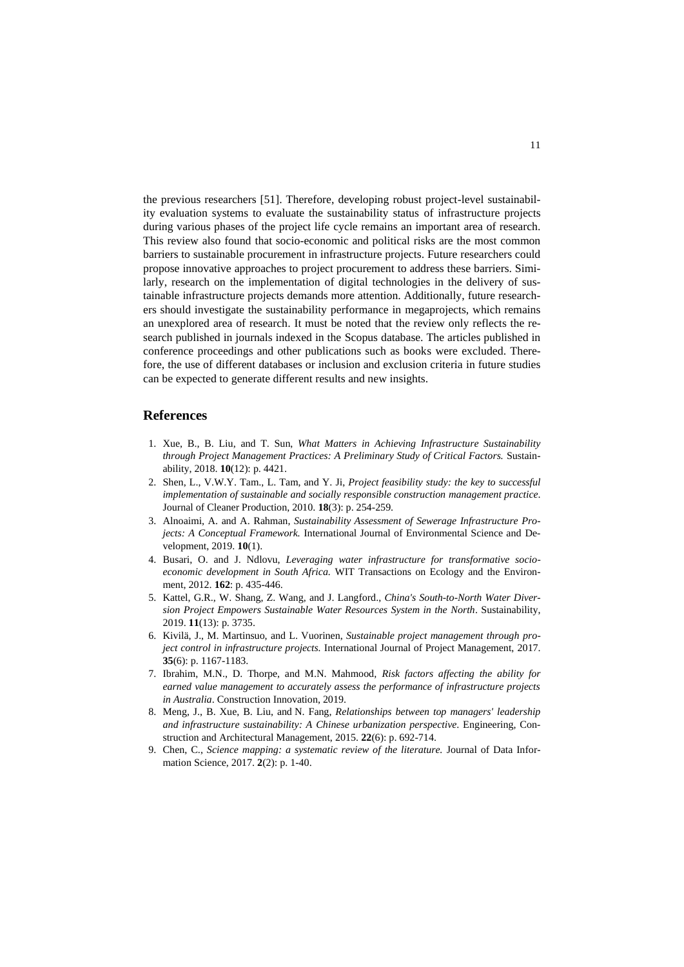the previous researchers [51]. Therefore, developing robust project-level sustainability evaluation systems to evaluate the sustainability status of infrastructure projects during various phases of the project life cycle remains an important area of research. This review also found that socio-economic and political risks are the most common barriers to sustainable procurement in infrastructure projects. Future researchers could propose innovative approaches to project procurement to address these barriers. Similarly, research on the implementation of digital technologies in the delivery of sustainable infrastructure projects demands more attention. Additionally, future researchers should investigate the sustainability performance in megaprojects, which remains an unexplored area of research. It must be noted that the review only reflects the research published in journals indexed in the Scopus database. The articles published in conference proceedings and other publications such as books were excluded. Therefore, the use of different databases or inclusion and exclusion criteria in future studies can be expected to generate different results and new insights.

### **References**

- 1. Xue, B., B. Liu, and T. Sun, *What Matters in Achieving Infrastructure Sustainability through Project Management Practices: A Preliminary Study of Critical Factors.* Sustainability, 2018. **10**(12): p. 4421.
- 2. Shen, L., V.W.Y. Tam., L. Tam, and Y. Ji, *Project feasibility study: the key to successful implementation of sustainable and socially responsible construction management practice*. Journal of Cleaner Production, 2010. **18**(3): p. 254-259.
- 3. Alnoaimi, A. and A. Rahman, *Sustainability Assessment of Sewerage Infrastructure Projects: A Conceptual Framework.* International Journal of Environmental Science and Development, 2019. **10**(1).
- 4. Busari, O. and J. Ndlovu, *Leveraging water infrastructure for transformative socioeconomic development in South Africa.* WIT Transactions on Ecology and the Environment, 2012. **162**: p. 435-446.
- 5. Kattel, G.R., W. Shang, Z. Wang, and J. Langford., *China's South-to-North Water Diversion Project Empowers Sustainable Water Resources System in the North*. Sustainability, 2019. **11**(13): p. 3735.
- 6. Kivilä, J., M. Martinsuo, and L. Vuorinen, *Sustainable project management through project control in infrastructure projects.* International Journal of Project Management, 2017. **35**(6): p. 1167-1183.
- 7. Ibrahim, M.N., D. Thorpe, and M.N. Mahmood, *Risk factors affecting the ability for earned value management to accurately assess the performance of infrastructure projects in Australia*. Construction Innovation, 2019.
- 8. Meng, J., B. [Xue, B](https://www.emerald.com/insight/search?q=Bin%20Xue). [Liu, a](https://www.emerald.com/insight/search?q=Bingsheng%20Liu)nd N. [Fang,](https://www.emerald.com/insight/search?q=Ning%20Fang) *Relationships between top managers' leadership and infrastructure sustainability: A Chinese urbanization perspective*. Engineering, Construction and Architectural Management, 2015. **22**(6): p. 692-714.
- 9. Chen, C., *Science mapping: a systematic review of the literature.* Journal of Data Information Science, 2017. **2**(2): p. 1-40.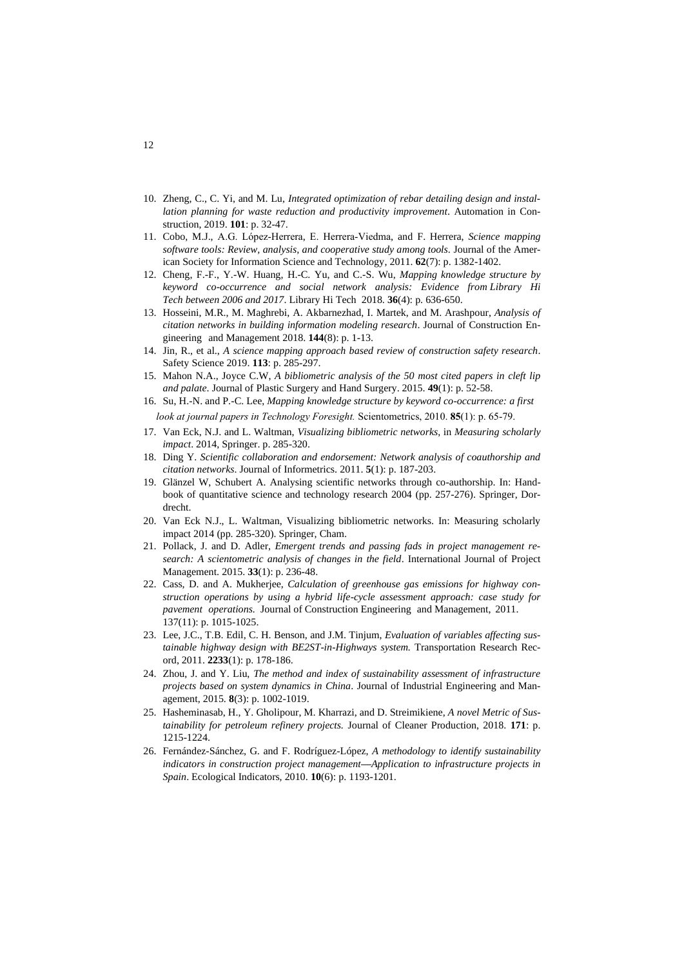- 10. Zheng, C., C. Yi, and M. Lu, *Integrated optimization of rebar detailing design and installation planning for waste reduction and productivity improvement*. Automation in Construction, 2019. **101**: p. 32-47.
- 11. Cobo, M.J., A.G. López‐Herrera, E. Herrera‐Viedma, and F. Herrera, *Science mapping software tools: Review, analysis, and cooperative study among tools*[. Journal of the Amer](https://onlinelibrary.wiley.com/journal/15322890)[ican Society for Information Science and Technology,](https://onlinelibrary.wiley.com/journal/15322890) 2011. **62**(7): p. 1382-1402.
- 12. Cheng, F.-F., Y.-W. Huang, H.-C. Yu, and C.-S. Wu, *Mapping knowledge structure by keyword co-occurrence and social network analysis: Evidence from Library Hi Tech between 2006 and 2017*. Library Hi Tech 2018. **36**(4): p. 636-650.
- 13. Hosseini, M.R., M. Maghrebi, A. Akbarnezhad, I. Martek, and M. Arashpour, *Analysis of citation networks in building information modeling research*. Journal of Construction Engineering and Management 2018. **144**(8): p. 1-13.
- 14. Jin, R., et al., *A science mapping approach based review of construction safety research*. Safety Science 2019. **113**: p. 285-297.
- 15. Mahon N.A., Joyce C.W, *A bibliometric analysis of the 50 most cited papers in cleft lip and palate*. Journal of Plastic Surgery and Hand Surgery. 2015. **49**(1): p. 52-58.
- 16. Su, H.-N. and P.-C. Lee, *Mapping knowledge structure by keyword co-occurrence: a first look at journal papers in Technology Foresight.* Scientometrics, 2010. **85**(1): p. 65-79.
- 17. Van Eck, N.J. and L. Waltman, *Visualizing bibliometric networks*, in *Measuring scholarly impact*. 2014, Springer. p. 285-320.
- 18. Ding Y. *Scientific collaboration and endorsement: Network analysis of coauthorship and citation networks*. Journal of Informetrics. 2011. **5**(1): p. 187-203.
- 19. Glänzel W, Schubert A. Analysing scientific networks through co-authorship. In: Handbook of quantitative science and technology research 2004 (pp. 257-276). Springer, Dordrecht.
- 20. Van Eck N.J., L. Waltman, Visualizing bibliometric networks. In: Measuring scholarly impact 2014 (pp. 285-320). Springer, Cham.
- 21. Pollack, J. and D. Adler, *Emergent trends and passing fads in project management research: A scientometric analysis of changes in the field*. International Journal of Project Management. 2015. **33**(1): p. 236-48.
- 22. Cass, D. and A. Mukherjee, *Calculation of greenhouse gas emissions for highway construction operations by using a hybrid life-cycle assessment approach: case study for pavement operations.* Journal of Construction Engineering and Management, 2011. 137(11): p. 1015-1025.
- 23. Lee, J.C., T.B. Edil, C. H. Benson, and J.M. Tinjum, *Evaluation of variables affecting sustainable highway design with BE2ST-in-Highways system.* Transportation Research Record, 2011. **2233**(1): p. 178-186.
- 24. Zhou, J. and Y. Liu, *The method and index of sustainability assessment of infrastructure projects based on system dynamics in China*. Journal of Industrial Engineering and Management, 2015. **8**(3): p. 1002-1019.
- 25. Hasheminasab, H., Y. Gholipour, M. Kharrazi, and D. Streimikiene, *A novel Metric of Sustainability for petroleum refinery projects.* Journal of Cleaner Production, 2018. **171**: p. 1215-1224.
- 26. Fernández-Sánchez, G. and F. Rodríguez-López, *A methodology to identify sustainability indicators in construction project management—Application to infrastructure projects in Spain*. Ecological Indicators, 2010. **10**(6): p. 1193-1201.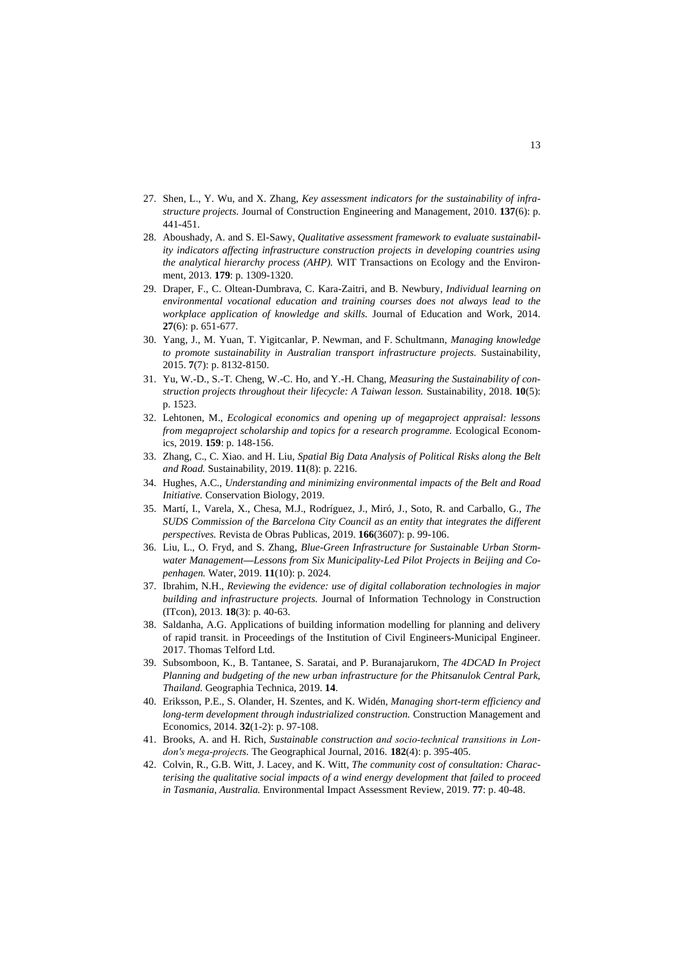- 27. Shen, L., Y. Wu, and X. Zhang, *Key assessment indicators for the sustainability of infrastructure projects.* Journal of Construction Engineering and Management, 2010. **137**(6): p. 441-451.
- 28. Aboushady, A. and S. El-Sawy, *Qualitative assessment framework to evaluate sustainability indicators affecting infrastructure construction projects in developing countries using the analytical hierarchy process (AHP).* WIT Transactions on Ecology and the Environment, 2013. **179**: p. 1309-1320.
- 29. Draper, F., C. Oltean-Dumbrava, C. Kara-Zaitri, and B. Newbury, *Individual learning on environmental vocational education and training courses does not always lead to the workplace application of knowledge and skills.* Journal of Education and Work, 2014. **27**(6): p. 651-677.
- 30. Yang, J., M. [Yuan, T](https://eprints.qut.edu.au/view/person/Yuan,_Mei.html). [Yigitcanlar, P.](https://eprints.qut.edu.au/view/person/Yigitcanlar,_Tan.html) Newman, and F. Schultmann, *Managing knowledge to promote sustainability in Australian transport infrastructure projects.* Sustainability, 2015. **7**(7): p. 8132-8150.
- 31. Yu, W.-D., S.-T. Cheng, W.-C. Ho, and Y.-H. Chang, *Measuring the Sustainability of construction projects throughout their lifecycle: A Taiwan lesson.* Sustainability, 2018. **10**(5): p. 1523.
- 32. Lehtonen, M., *Ecological economics and opening up of megaproject appraisal: lessons from megaproject scholarship and topics for a research programme.* Ecological Economics, 2019. **159**: p. 148-156.
- 33. Zhang, C., C. Xiao. and H. Liu, *Spatial Big Data Analysis of Political Risks along the Belt and Road.* Sustainability, 2019. **11**(8): p. 2216.
- 34. Hughes, A.C., *Understanding and minimizing environmental impacts of the Belt and Road Initiative.* Conservation Biology, 2019.
- 35. Martí, I., Varela, X., Chesa, M.J., Rodríguez, J., Miró, J., Soto, R. and Carballo, G., *The SUDS Commission of the Barcelona City Council as an entity that integrates the different perspectives.* Revista de Obras Publicas, 2019. **166**(3607): p. 99-106.
- 36. Liu, L., O. Fryd, and S. Zhang, *Blue-Green Infrastructure for Sustainable Urban Stormwater Management—Lessons from Six Municipality-Led Pilot Projects in Beijing and Copenhagen.* Water, 2019. **11**(10): p. 2024.
- 37. Ibrahim, N.H., *Reviewing the evidence: use of digital collaboration technologies in major building and infrastructure projects.* Journal of Information Technology in Construction (ITcon), 2013. **18**(3): p. 40-63.
- 38. Saldanha, A.G. Applications of building information modelling for planning and delivery of rapid transit. in Proceedings of the Institution of Civil Engineers-Municipal Engineer. 2017. Thomas Telford Ltd.
- 39. Subsomboon, K., B. Tantanee, S. Saratai, and P. Buranajarukorn, *The 4DCAD In Project Planning and budgeting of the new urban infrastructure for the Phitsanulok Central Park, Thailand.* Geographia Technica, 2019. **14**.
- 40. Eriksson, P.E., S. Olander, H. Szentes, and K[. Widén,](https://www.tandfonline.com/author/Wid%C3%A9n%2C+Kristian) *Managing short-term efficiency and long-term development through industrialized construction.* Construction Management and Economics, 2014. **32**(1-2): p. 97-108.
- 41. Brooks, A. and H. Rich, *Sustainable construction and socio‐technical transitions in London's mega‐projects.* The Geographical Journal, 2016. **182**(4): p. 395-405.
- 42. Colvin, R., G.B. Witt, J. Lacey, and K. Witt, *The community cost of consultation: Characterising the qualitative social impacts of a wind energy development that failed to proceed in Tasmania, Australia.* Environmental Impact Assessment Review, 2019. **77**: p. 40-48.